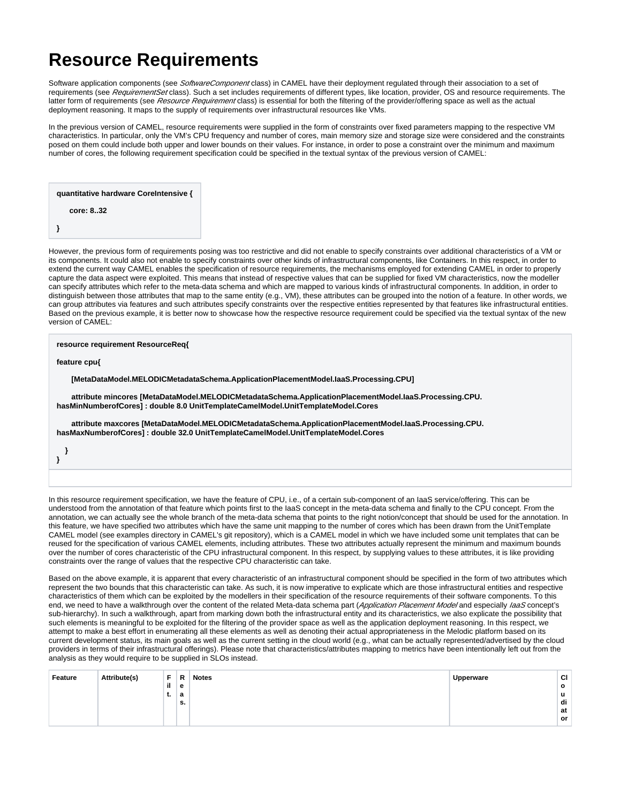## **Resource Requirements**

Software application components (see SoftwareComponent class) in CAMEL have their deployment regulated through their association to a set of requirements (see RequirementSet class). Such a set includes requirements of different types, like location, provider, OS and resource requirements. The latter form of requirements (see Resource Requirement class) is essential for both the filtering of the provider/offering space as well as the actual deployment reasoning. It maps to the supply of requirements over infrastructural resources like VMs.

In the previous version of CAMEL, resource requirements were supplied in the form of constraints over fixed parameters mapping to the respective VM characteristics. In particular, only the VM's CPU frequency and number of cores, main memory size and storage size were considered and the constraints posed on them could include both upper and lower bounds on their values. For instance, in order to pose a constraint over the minimum and maximum number of cores, the following requirement specification could be specified in the textual syntax of the previous version of CAMEL:

**quantitative hardware CoreIntensive {**

 **core: 8..32** 

**}**

However, the previous form of requirements posing was too restrictive and did not enable to specify constraints over additional characteristics of a VM or its components. It could also not enable to specify constraints over other kinds of infrastructural components, like Containers. In this respect, in order to extend the current way CAMEL enables the specification of resource requirements, the mechanisms employed for extending CAMEL in order to properly capture the data aspect were exploited. This means that instead of respective values that can be supplied for fixed VM characteristics, now the modeller can specify attributes which refer to the meta-data schema and which are mapped to various kinds of infrastructural components. In addition, in order to distinguish between those attributes that map to the same entity (e.g., VM), these attributes can be grouped into the notion of a feature. In other words, we can group attributes via features and such attributes specify constraints over the respective entities represented by that features like infrastructural entities. Based on the previous example, it is better now to showcase how the respective resource requirement could be specified via the textual syntax of the new version of CAMEL:

**resource requirement ResourceReq{**

**feature cpu{**

 **[MetaDataModel.MELODICMetadataSchema.ApplicationPlacementModel.IaaS.Processing.CPU]**

 **attribute mincores [MetaDataModel.MELODICMetadataSchema.ApplicationPlacementModel.IaaS.Processing.CPU. hasMinNumberofCores] : double 8.0 UnitTemplateCamelModel.UnitTemplateModel.Cores**

 **attribute maxcores [MetaDataModel.MELODICMetadataSchema.ApplicationPlacementModel.IaaS.Processing.CPU. hasMaxNumberofCores] : double 32.0 UnitTemplateCamelModel.UnitTemplateModel.Cores**

 **} }**

In this resource requirement specification, we have the feature of CPU, i.e., of a certain sub-component of an IaaS service/offering. This can be understood from the annotation of that feature which points first to the IaaS concept in the meta-data schema and finally to the CPU concept. From the annotation, we can actually see the whole branch of the meta-data schema that points to the right notion/concept that should be used for the annotation. In this feature, we have specified two attributes which have the same unit mapping to the number of cores which has been drawn from the UnitTemplate CAMEL model (see examples directory in CAMEL's git repository), which is a CAMEL model in which we have included some unit templates that can be reused for the specification of various CAMEL elements, including attributes. These two attributes actually represent the minimum and maximum bounds over the number of cores characteristic of the CPU infrastructural component. In this respect, by supplying values to these attributes, it is like providing constraints over the range of values that the respective CPU characteristic can take.

Based on the above example, it is apparent that every characteristic of an infrastructural component should be specified in the form of two attributes which represent the two bounds that this characteristic can take. As such, it is now imperative to explicate which are those infrastructural entities and respective characteristics of them which can be exploited by the modellers in their specification of the resource requirements of their software components. To this end, we need to have a walkthrough over the content of the related Meta-data schema part (Application Placement Model and especially laaS concept's sub-hierarchy). In such a walkthrough, apart from marking down both the infrastructural entity and its characteristics, we also explicate the possibility that such elements is meaningful to be exploited for the filtering of the provider space as well as the application deployment reasoning. In this respect, we attempt to make a best effort in enumerating all these elements as well as denoting their actual appropriateness in the Melodic platform based on its current development status, its main goals as well as the current setting in the cloud world (e.g., what can be actually represented/advertised by the cloud providers in terms of their infrastructural offerings). Please note that characteristics/attributes mapping to metrics have been intentionally left out from the analysis as they would require to be supplied in SLOs instead.

| Feature | Attribute(s) | Е   | R  | <b>Notes</b> | Upperware | <b>CI</b> |
|---------|--------------|-----|----|--------------|-----------|-----------|
|         |              | il. | е  |              |           | $\circ$   |
|         |              | ъ.  | а  |              |           | u         |
|         |              |     | s. |              |           | di        |
|         |              |     |    |              |           | at        |
|         |              |     |    |              |           | or        |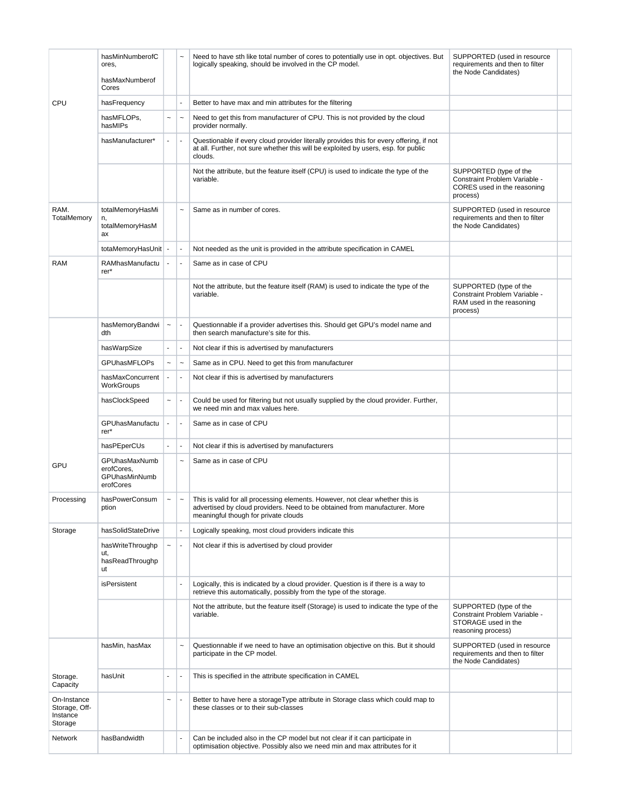|                                                     | hasMinNumberofC<br>ores,<br>hasMaxNumberof<br>Cores       |                           |                           | Need to have sth like total number of cores to potentially use in opt. objectives. But<br>logically speaking, should be involved in the CP model.                                                   | SUPPORTED (used in resource<br>requirements and then to filter<br>the Node Candidates)               |  |
|-----------------------------------------------------|-----------------------------------------------------------|---------------------------|---------------------------|-----------------------------------------------------------------------------------------------------------------------------------------------------------------------------------------------------|------------------------------------------------------------------------------------------------------|--|
| <b>CPU</b>                                          | hasFrequency                                              |                           |                           | Better to have max and min attributes for the filtering                                                                                                                                             |                                                                                                      |  |
|                                                     | hasMFLOPs,<br>hasMIPs                                     | $\tilde{}$                | $\ddot{\phantom{1}}$      | Need to get this from manufacturer of CPU. This is not provided by the cloud<br>provider normally.                                                                                                  |                                                                                                      |  |
|                                                     | hasManufacturer*                                          | $\blacksquare$            |                           | Questionable if every cloud provider literally provides this for every offering, if not<br>at all. Further, not sure whether this will be exploited by users, esp. for public<br>clouds.            |                                                                                                      |  |
|                                                     |                                                           |                           |                           | Not the attribute, but the feature itself (CPU) is used to indicate the type of the<br>variable.                                                                                                    | SUPPORTED (type of the<br>Constraint Problem Variable -<br>CORES used in the reasoning<br>process)   |  |
| RAM.<br>TotalMemory                                 | totalMemoryHasMi<br>n,<br>totalMemoryHasM<br>ax           |                           | $\sim$                    | Same as in number of cores.                                                                                                                                                                         | SUPPORTED (used in resource<br>requirements and then to filter<br>the Node Candidates)               |  |
|                                                     | totaMemoryHasUnit                                         |                           | ٠                         | Not needed as the unit is provided in the attribute specification in CAMEL                                                                                                                          |                                                                                                      |  |
| <b>RAM</b>                                          | RAMhasManufactu<br>$rer^*$                                |                           |                           | Same as in case of CPU                                                                                                                                                                              |                                                                                                      |  |
|                                                     |                                                           |                           |                           | Not the attribute, but the feature itself (RAM) is used to indicate the type of the<br>variable.                                                                                                    | SUPPORTED (type of the<br>Constraint Problem Variable -<br>RAM used in the reasoning<br>process)     |  |
|                                                     | hasMemoryBandwi<br>dth                                    | $\tilde{\phantom{a}}$     | $\overline{\phantom{a}}$  | Questionnable if a provider advertises this. Should get GPU's model name and<br>then search manufacture's site for this.                                                                            |                                                                                                      |  |
|                                                     | hasWarpSize                                               | $\blacksquare$            |                           | Not clear if this is advertised by manufacturers                                                                                                                                                    |                                                                                                      |  |
|                                                     | <b>GPUhasMFLOPs</b>                                       | $\widetilde{\phantom{m}}$ | $\tilde{}$                | Same as in CPU. Need to get this from manufacturer                                                                                                                                                  |                                                                                                      |  |
|                                                     | hasMaxConcurrent<br>WorkGroups                            | $\blacksquare$            |                           | Not clear if this is advertised by manufacturers                                                                                                                                                    |                                                                                                      |  |
|                                                     | hasClockSpeed                                             | $\tilde{\phantom{a}}$     |                           | Could be used for filtering but not usually supplied by the cloud provider. Further,<br>we need min and max values here.                                                                            |                                                                                                      |  |
|                                                     | GPUhasManufactu<br>rer*                                   | $\blacksquare$            |                           | Same as in case of CPU                                                                                                                                                                              |                                                                                                      |  |
|                                                     | hasPEperCUs                                               | $\blacksquare$            | ÷,                        | Not clear if this is advertised by manufacturers                                                                                                                                                    |                                                                                                      |  |
| GPU                                                 | GPUhasMaxNumb<br>erofCores.<br>GPUhasMinNumb<br>erofCores |                           | $\widetilde{\phantom{m}}$ | Same as in case of CPU                                                                                                                                                                              |                                                                                                      |  |
| Processing                                          | hasPowerConsum<br>ption                                   | $\sim$                    | $\sim$                    | This is valid for all processing elements. However, not clear whether this is<br>advertised by cloud providers. Need to be obtained from manufacturer. More<br>meaningful though for private clouds |                                                                                                      |  |
| Storage                                             | hasSolidStateDrive                                        |                           |                           | Logically speaking, most cloud providers indicate this                                                                                                                                              |                                                                                                      |  |
|                                                     | hasWriteThroughp<br>ut,<br>hasReadThroughp<br>ut          | $\widetilde{\phantom{m}}$ |                           | Not clear if this is advertised by cloud provider                                                                                                                                                   |                                                                                                      |  |
|                                                     | isPersistent                                              |                           |                           | Logically, this is indicated by a cloud provider. Question is if there is a way to<br>retrieve this automatically, possibly from the type of the storage.                                           |                                                                                                      |  |
|                                                     |                                                           |                           |                           | Not the attribute, but the feature itself (Storage) is used to indicate the type of the<br>variable.                                                                                                | SUPPORTED (type of the<br>Constraint Problem Variable -<br>STORAGE used in the<br>reasoning process) |  |
|                                                     | hasMin, hasMax                                            |                           | $\overline{ }$            | Questionnable if we need to have an optimisation objective on this. But it should<br>participate in the CP model.                                                                                   | SUPPORTED (used in resource<br>requirements and then to filter<br>the Node Candidates)               |  |
| Storage.<br>Capacity                                | hasUnit                                                   | $\blacksquare$            |                           | This is specified in the attribute specification in CAMEL                                                                                                                                           |                                                                                                      |  |
| On-Instance<br>Storage, Off-<br>Instance<br>Storage |                                                           | $\overline{ }$            |                           | Better to have here a storageType attribute in Storage class which could map to<br>these classes or to their sub-classes                                                                            |                                                                                                      |  |
| Network                                             | hasBandwidth                                              |                           |                           | Can be included also in the CP model but not clear if it can participate in<br>optimisation objective. Possibly also we need min and max attributes for it                                          |                                                                                                      |  |